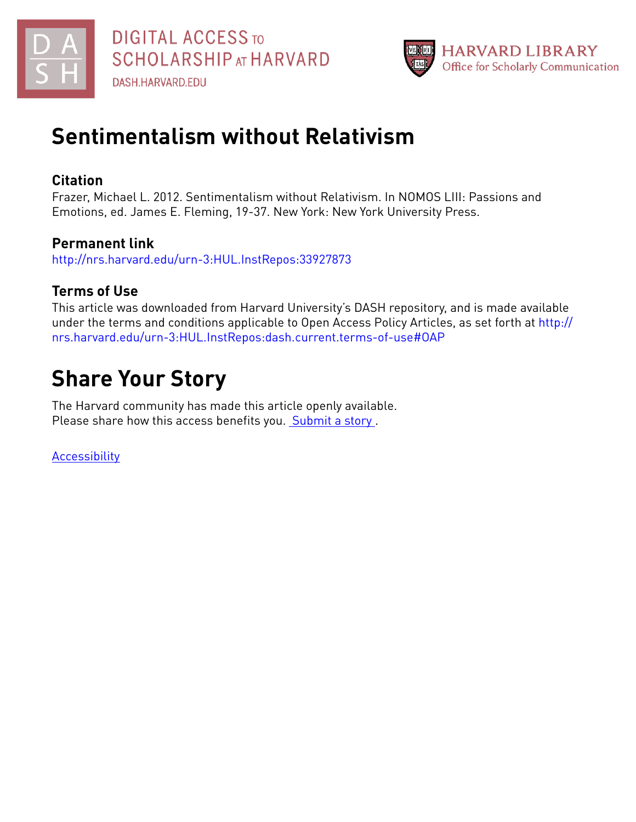



## **Sentimentalism without Relativism**

### **Citation**

Frazer, Michael L. 2012. Sentimentalism without Relativism. In NOMOS LIII: Passions and Emotions, ed. James E. Fleming, 19-37. New York: New York University Press.

#### **Permanent link**

<http://nrs.harvard.edu/urn-3:HUL.InstRepos:33927873>

#### **Terms of Use**

This article was downloaded from Harvard University's DASH repository, and is made available under the terms and conditions applicable to Open Access Policy Articles, as set forth at [http://](http://nrs.harvard.edu/urn-3:HUL.InstRepos:dash.current.terms-of-use#OAP) [nrs.harvard.edu/urn-3:HUL.InstRepos:dash.current.terms-of-use#OAP](http://nrs.harvard.edu/urn-3:HUL.InstRepos:dash.current.terms-of-use#OAP)

# **Share Your Story**

The Harvard community has made this article openly available. Please share how this access benefits you. [Submit](http://osc.hul.harvard.edu/dash/open-access-feedback?handle=&title=Sentimentalism%20without%20Relativism&community=1/1&collection=1/2&owningCollection1/2&harvardAuthors=9ee305f9e54ea5d637620d1efe9cc914&departmentGovernment) a story.

**[Accessibility](https://dash.harvard.edu/pages/accessibility)**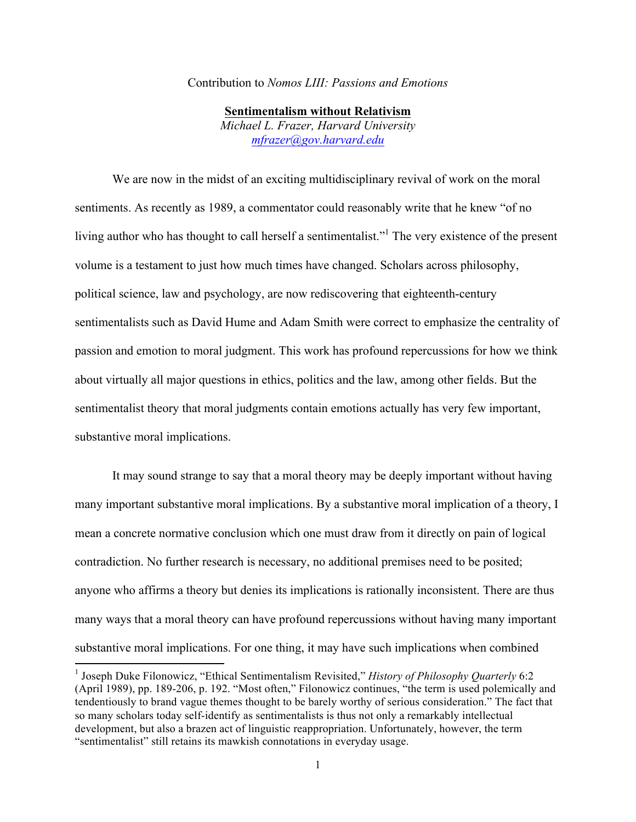#### Contribution to *Nomos LIII: Passions and Emotions*

**Sentimentalism without Relativism** *Michael L. Frazer, Harvard University mfrazer@gov.harvard.edu*

We are now in the midst of an exciting multidisciplinary revival of work on the moral sentiments. As recently as 1989, a commentator could reasonably write that he knew "of no living author who has thought to call herself a sentimentalist."<sup>1</sup> The very existence of the present volume is a testament to just how much times have changed. Scholars across philosophy, political science, law and psychology, are now rediscovering that eighteenth-century sentimentalists such as David Hume and Adam Smith were correct to emphasize the centrality of passion and emotion to moral judgment. This work has profound repercussions for how we think about virtually all major questions in ethics, politics and the law, among other fields. But the sentimentalist theory that moral judgments contain emotions actually has very few important, substantive moral implications.

It may sound strange to say that a moral theory may be deeply important without having many important substantive moral implications. By a substantive moral implication of a theory, I mean a concrete normative conclusion which one must draw from it directly on pain of logical contradiction. No further research is necessary, no additional premises need to be posited; anyone who affirms a theory but denies its implications is rationally inconsistent. There are thus many ways that a moral theory can have profound repercussions without having many important substantive moral implications. For one thing, it may have such implications when combined

<sup>1</sup> Joseph Duke Filonowicz, "Ethical Sentimentalism Revisited," *History of Philosophy Quarterly* 6:2 (April 1989), pp. 189-206, p. 192. "Most often," Filonowicz continues, "the term is used polemically and tendentiously to brand vague themes thought to be barely worthy of serious consideration." The fact that so many scholars today self-identify as sentimentalists is thus not only a remarkably intellectual development, but also a brazen act of linguistic reappropriation. Unfortunately, however, the term "sentimentalist" still retains its mawkish connotations in everyday usage.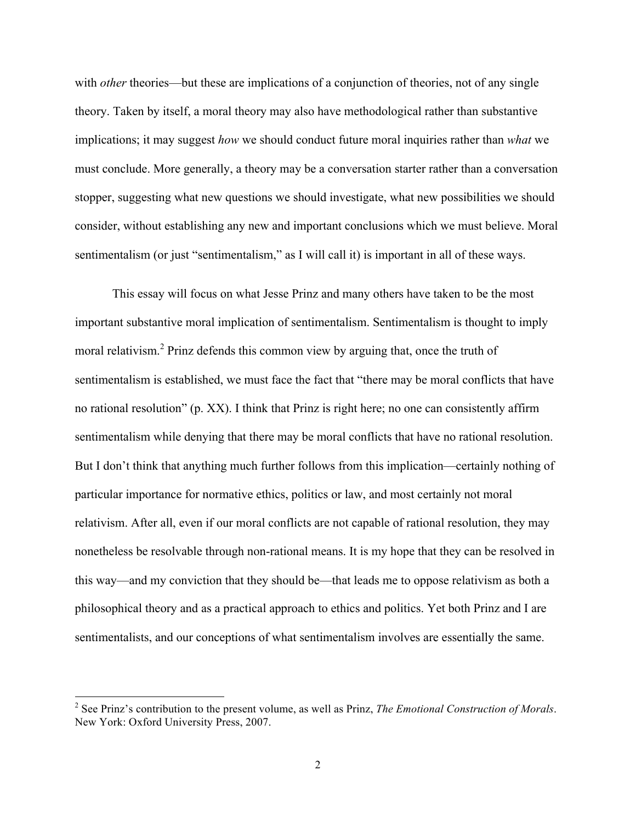with *other* theories—but these are implications of a conjunction of theories, not of any single theory. Taken by itself, a moral theory may also have methodological rather than substantive implications; it may suggest *how* we should conduct future moral inquiries rather than *what* we must conclude. More generally, a theory may be a conversation starter rather than a conversation stopper, suggesting what new questions we should investigate, what new possibilities we should consider, without establishing any new and important conclusions which we must believe. Moral sentimentalism (or just "sentimentalism," as I will call it) is important in all of these ways.

This essay will focus on what Jesse Prinz and many others have taken to be the most important substantive moral implication of sentimentalism. Sentimentalism is thought to imply moral relativism.<sup>2</sup> Prinz defends this common view by arguing that, once the truth of sentimentalism is established, we must face the fact that "there may be moral conflicts that have no rational resolution" (p. XX). I think that Prinz is right here; no one can consistently affirm sentimentalism while denying that there may be moral conflicts that have no rational resolution. But I don't think that anything much further follows from this implication—certainly nothing of particular importance for normative ethics, politics or law, and most certainly not moral relativism. After all, even if our moral conflicts are not capable of rational resolution, they may nonetheless be resolvable through non-rational means. It is my hope that they can be resolved in this way—and my conviction that they should be—that leads me to oppose relativism as both a philosophical theory and as a practical approach to ethics and politics. Yet both Prinz and I are sentimentalists, and our conceptions of what sentimentalism involves are essentially the same.

<sup>2</sup> See Prinz's contribution to the present volume, as well as Prinz, *The Emotional Construction of Morals*. New York: Oxford University Press, 2007.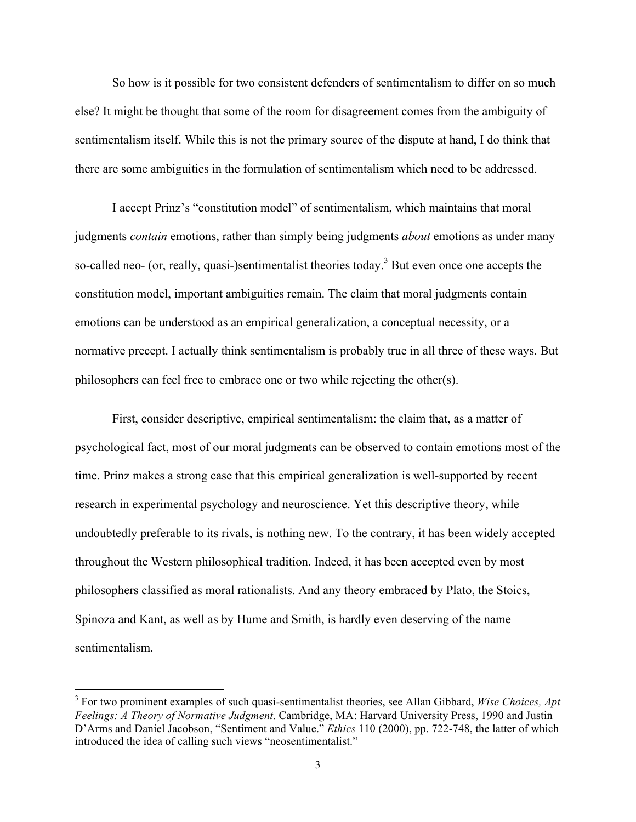So how is it possible for two consistent defenders of sentimentalism to differ on so much else? It might be thought that some of the room for disagreement comes from the ambiguity of sentimentalism itself. While this is not the primary source of the dispute at hand, I do think that there are some ambiguities in the formulation of sentimentalism which need to be addressed.

I accept Prinz's "constitution model" of sentimentalism, which maintains that moral judgments *contain* emotions, rather than simply being judgments *about* emotions as under many so-called neo- (or, really, quasi-)sentimentalist theories today.<sup>3</sup> But even once one accepts the constitution model, important ambiguities remain. The claim that moral judgments contain emotions can be understood as an empirical generalization, a conceptual necessity, or a normative precept. I actually think sentimentalism is probably true in all three of these ways. But philosophers can feel free to embrace one or two while rejecting the other(s).

First, consider descriptive, empirical sentimentalism: the claim that, as a matter of psychological fact, most of our moral judgments can be observed to contain emotions most of the time. Prinz makes a strong case that this empirical generalization is well-supported by recent research in experimental psychology and neuroscience. Yet this descriptive theory, while undoubtedly preferable to its rivals, is nothing new. To the contrary, it has been widely accepted throughout the Western philosophical tradition. Indeed, it has been accepted even by most philosophers classified as moral rationalists. And any theory embraced by Plato, the Stoics, Spinoza and Kant, as well as by Hume and Smith, is hardly even deserving of the name sentimentalism.

<sup>3</sup> For two prominent examples of such quasi-sentimentalist theories, see Allan Gibbard, *Wise Choices, Apt Feelings: A Theory of Normative Judgment*. Cambridge, MA: Harvard University Press, 1990 and Justin D'Arms and Daniel Jacobson, "Sentiment and Value." *Ethics* 110 (2000), pp. 722-748, the latter of which introduced the idea of calling such views "neosentimentalist."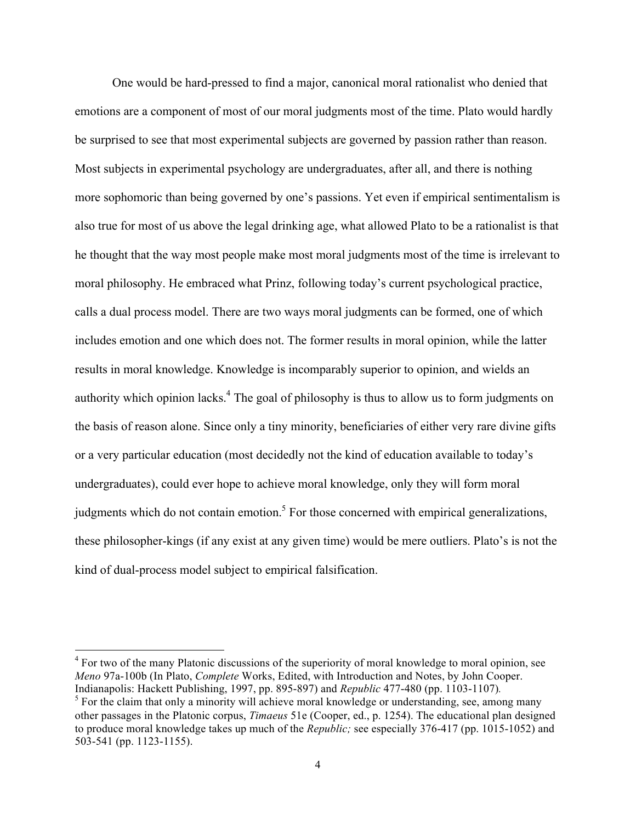One would be hard-pressed to find a major, canonical moral rationalist who denied that emotions are a component of most of our moral judgments most of the time. Plato would hardly be surprised to see that most experimental subjects are governed by passion rather than reason. Most subjects in experimental psychology are undergraduates, after all, and there is nothing more sophomoric than being governed by one's passions. Yet even if empirical sentimentalism is also true for most of us above the legal drinking age, what allowed Plato to be a rationalist is that he thought that the way most people make most moral judgments most of the time is irrelevant to moral philosophy. He embraced what Prinz, following today's current psychological practice, calls a dual process model. There are two ways moral judgments can be formed, one of which includes emotion and one which does not. The former results in moral opinion, while the latter results in moral knowledge. Knowledge is incomparably superior to opinion, and wields an authority which opinion lacks.<sup>4</sup> The goal of philosophy is thus to allow us to form judgments on the basis of reason alone. Since only a tiny minority, beneficiaries of either very rare divine gifts or a very particular education (most decidedly not the kind of education available to today's undergraduates), could ever hope to achieve moral knowledge, only they will form moral judgments which do not contain emotion.<sup>5</sup> For those concerned with empirical generalizations, these philosopher-kings (if any exist at any given time) would be mere outliers. Plato's is not the kind of dual-process model subject to empirical falsification.

<sup>&</sup>lt;sup>4</sup> For two of the many Platonic discussions of the superiority of moral knowledge to moral opinion, see *Meno* 97a-100b (In Plato, *Complete* Works, Edited, with Introduction and Notes, by John Cooper. Indianapolis: Hackett Publishing, 1997, pp. 895-897) and *Republic* 477-480 (pp. 1103-1107).<br><sup>5</sup> For the claim that only a minority will achieve moral knowledge or understanding, see, among many

other passages in the Platonic corpus, *Timaeus* 51e (Cooper, ed., p. 1254). The educational plan designed to produce moral knowledge takes up much of the *Republic;* see especially 376-417 (pp. 1015-1052) and 503-541 (pp. 1123-1155).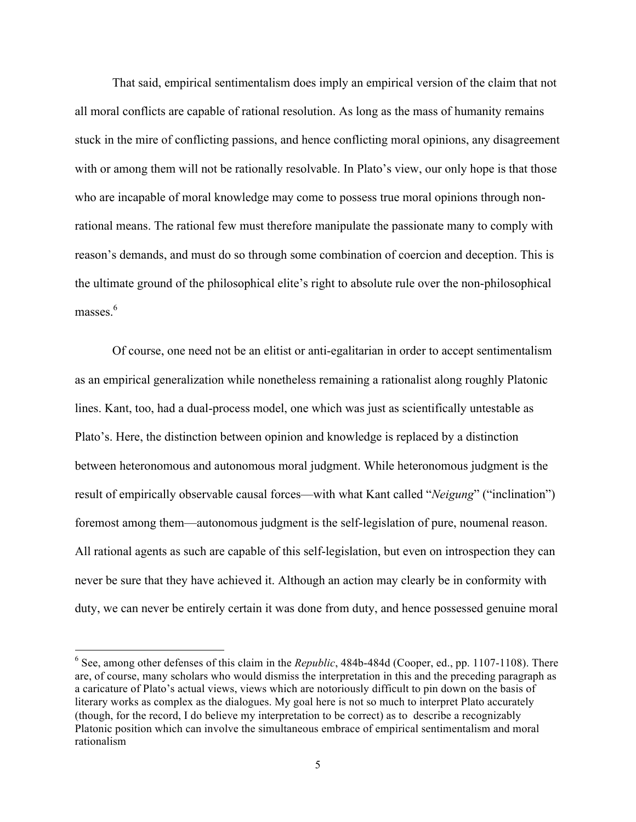That said, empirical sentimentalism does imply an empirical version of the claim that not all moral conflicts are capable of rational resolution. As long as the mass of humanity remains stuck in the mire of conflicting passions, and hence conflicting moral opinions, any disagreement with or among them will not be rationally resolvable. In Plato's view, our only hope is that those who are incapable of moral knowledge may come to possess true moral opinions through nonrational means. The rational few must therefore manipulate the passionate many to comply with reason's demands, and must do so through some combination of coercion and deception. This is the ultimate ground of the philosophical elite's right to absolute rule over the non-philosophical masses $6$ 

Of course, one need not be an elitist or anti-egalitarian in order to accept sentimentalism as an empirical generalization while nonetheless remaining a rationalist along roughly Platonic lines. Kant, too, had a dual-process model, one which was just as scientifically untestable as Plato's. Here, the distinction between opinion and knowledge is replaced by a distinction between heteronomous and autonomous moral judgment. While heteronomous judgment is the result of empirically observable causal forces—with what Kant called "*Neigung*" ("inclination") foremost among them—autonomous judgment is the self-legislation of pure, noumenal reason. All rational agents as such are capable of this self-legislation, but even on introspection they can never be sure that they have achieved it. Although an action may clearly be in conformity with duty, we can never be entirely certain it was done from duty, and hence possessed genuine moral

<sup>6</sup> See, among other defenses of this claim in the *Republic*, 484b-484d (Cooper, ed., pp. 1107-1108). There are, of course, many scholars who would dismiss the interpretation in this and the preceding paragraph as a caricature of Plato's actual views, views which are notoriously difficult to pin down on the basis of literary works as complex as the dialogues. My goal here is not so much to interpret Plato accurately (though, for the record, I do believe my interpretation to be correct) as to describe a recognizably Platonic position which can involve the simultaneous embrace of empirical sentimentalism and moral rationalism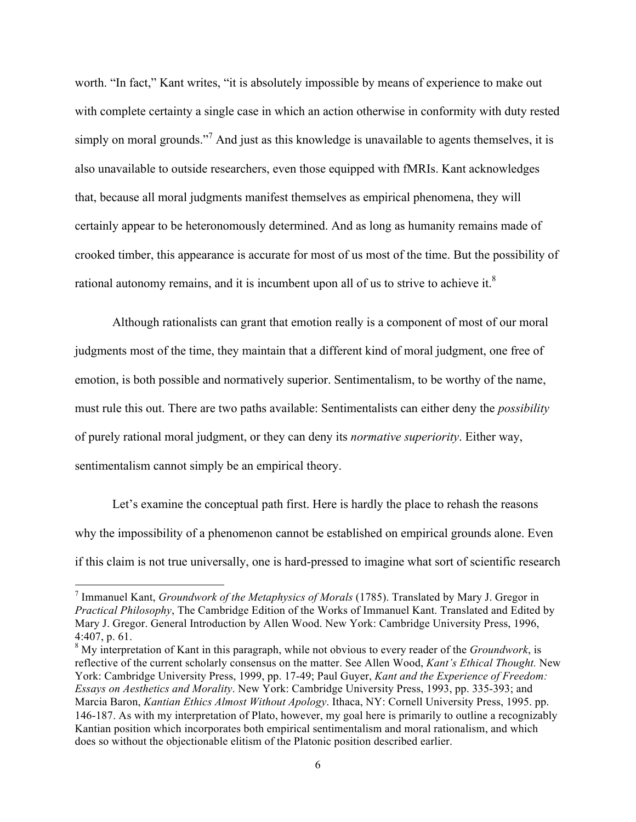worth. "In fact," Kant writes, "it is absolutely impossible by means of experience to make out with complete certainty a single case in which an action otherwise in conformity with duty rested simply on moral grounds."<sup>7</sup> And just as this knowledge is unavailable to agents themselves, it is also unavailable to outside researchers, even those equipped with fMRIs. Kant acknowledges that, because all moral judgments manifest themselves as empirical phenomena, they will certainly appear to be heteronomously determined. And as long as humanity remains made of crooked timber, this appearance is accurate for most of us most of the time. But the possibility of rational autonomy remains, and it is incumbent upon all of us to strive to achieve it. $8$ 

Although rationalists can grant that emotion really is a component of most of our moral judgments most of the time, they maintain that a different kind of moral judgment, one free of emotion, is both possible and normatively superior. Sentimentalism, to be worthy of the name, must rule this out. There are two paths available: Sentimentalists can either deny the *possibility*  of purely rational moral judgment, or they can deny its *normative superiority*. Either way, sentimentalism cannot simply be an empirical theory.

Let's examine the conceptual path first. Here is hardly the place to rehash the reasons why the impossibility of a phenomenon cannot be established on empirical grounds alone. Even if this claim is not true universally, one is hard-pressed to imagine what sort of scientific research

<sup>7</sup> Immanuel Kant, *Groundwork of the Metaphysics of Morals* (1785). Translated by Mary J. Gregor in *Practical Philosophy*, The Cambridge Edition of the Works of Immanuel Kant. Translated and Edited by Mary J. Gregor. General Introduction by Allen Wood. New York: Cambridge University Press, 1996, 4:407, p. 61.

<sup>8</sup> My interpretation of Kant in this paragraph, while not obvious to every reader of the *Groundwork*, is reflective of the current scholarly consensus on the matter. See Allen Wood, *Kant's Ethical Thought.* New York: Cambridge University Press, 1999, pp. 17-49; Paul Guyer, *Kant and the Experience of Freedom: Essays on Aesthetics and Morality*. New York: Cambridge University Press, 1993, pp. 335-393; and Marcia Baron, *Kantian Ethics Almost Without Apology*. Ithaca, NY: Cornell University Press, 1995. pp. 146-187. As with my interpretation of Plato, however, my goal here is primarily to outline a recognizably Kantian position which incorporates both empirical sentimentalism and moral rationalism, and which does so without the objectionable elitism of the Platonic position described earlier.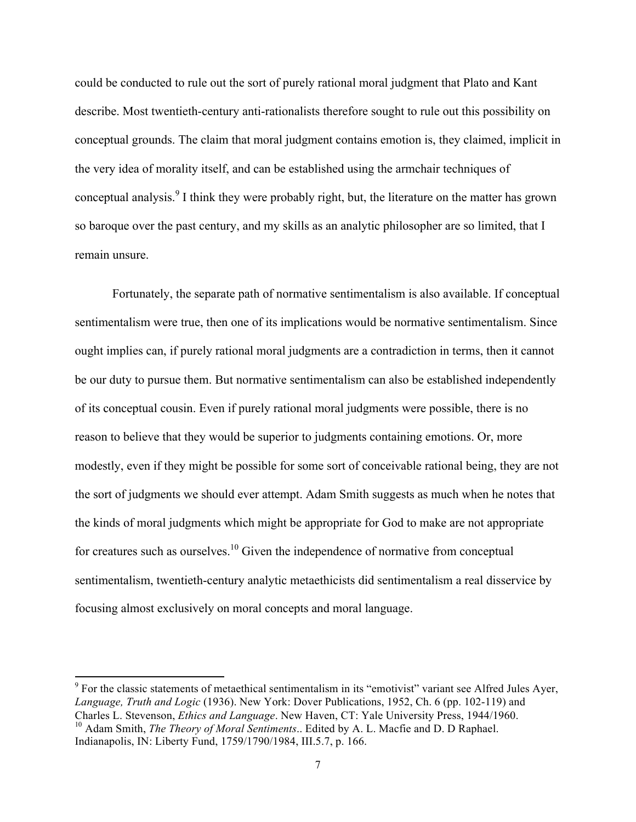could be conducted to rule out the sort of purely rational moral judgment that Plato and Kant describe. Most twentieth-century anti-rationalists therefore sought to rule out this possibility on conceptual grounds. The claim that moral judgment contains emotion is, they claimed, implicit in the very idea of morality itself, and can be established using the armchair techniques of conceptual analysis.<sup>9</sup> I think they were probably right, but, the literature on the matter has grown so baroque over the past century, and my skills as an analytic philosopher are so limited, that I remain unsure.

Fortunately, the separate path of normative sentimentalism is also available. If conceptual sentimentalism were true, then one of its implications would be normative sentimentalism. Since ought implies can, if purely rational moral judgments are a contradiction in terms, then it cannot be our duty to pursue them. But normative sentimentalism can also be established independently of its conceptual cousin. Even if purely rational moral judgments were possible, there is no reason to believe that they would be superior to judgments containing emotions. Or, more modestly, even if they might be possible for some sort of conceivable rational being, they are not the sort of judgments we should ever attempt. Adam Smith suggests as much when he notes that the kinds of moral judgments which might be appropriate for God to make are not appropriate for creatures such as ourselves.<sup>10</sup> Given the independence of normative from conceptual sentimentalism, twentieth-century analytic metaethicists did sentimentalism a real disservice by focusing almost exclusively on moral concepts and moral language.

<sup>&</sup>lt;sup>9</sup> For the classic statements of metaethical sentimentalism in its "emotivist" variant see Alfred Jules Ayer, *Language, Truth and Logic* (1936). New York: Dover Publications, 1952, Ch. 6 (pp. 102-119) and Charles L. Stevenson, *Ethics and Language*. New Haven, CT: Yale University Press, 1944/1960. <sup>10</sup> Adam Smith, *The Theory of Moral Sentiments.*. Edited by A. L. Macfie and D. D Raphael. Indianapolis, IN: Liberty Fund, 1759/1790/1984, III.5.7, p. 166.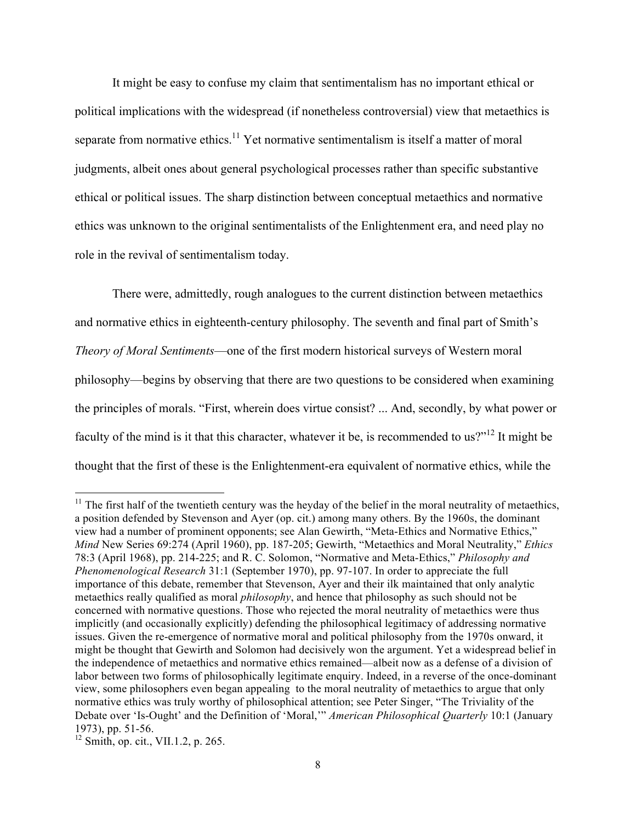It might be easy to confuse my claim that sentimentalism has no important ethical or political implications with the widespread (if nonetheless controversial) view that metaethics is separate from normative ethics.<sup>11</sup> Yet normative sentimentalism is itself a matter of moral judgments, albeit ones about general psychological processes rather than specific substantive ethical or political issues. The sharp distinction between conceptual metaethics and normative ethics was unknown to the original sentimentalists of the Enlightenment era, and need play no role in the revival of sentimentalism today.

There were, admittedly, rough analogues to the current distinction between metaethics and normative ethics in eighteenth-century philosophy. The seventh and final part of Smith's *Theory of Moral Sentiments*—one of the first modern historical surveys of Western moral philosophy—begins by observing that there are two questions to be considered when examining the principles of morals. "First, wherein does virtue consist? ... And, secondly, by what power or faculty of the mind is it that this character, whatever it be, is recommended to us?"<sup>12</sup> It might be thought that the first of these is the Enlightenment-era equivalent of normative ethics, while the

 

 $11$  The first half of the twentieth century was the heyday of the belief in the moral neutrality of metaethics, a position defended by Stevenson and Ayer (op. cit.) among many others. By the 1960s, the dominant view had a number of prominent opponents; see Alan Gewirth, "Meta-Ethics and Normative Ethics," *Mind* New Series 69:274 (April 1960), pp. 187-205; Gewirth, "Metaethics and Moral Neutrality," *Ethics*  78:3 (April 1968), pp. 214-225; and R. C. Solomon, "Normative and Meta-Ethics," *Philosophy and Phenomenological Research* 31:1 (September 1970), pp. 97-107. In order to appreciate the full importance of this debate, remember that Stevenson, Ayer and their ilk maintained that only analytic metaethics really qualified as moral *philosophy*, and hence that philosophy as such should not be concerned with normative questions. Those who rejected the moral neutrality of metaethics were thus implicitly (and occasionally explicitly) defending the philosophical legitimacy of addressing normative issues. Given the re-emergence of normative moral and political philosophy from the 1970s onward, it might be thought that Gewirth and Solomon had decisively won the argument. Yet a widespread belief in the independence of metaethics and normative ethics remained—albeit now as a defense of a division of labor between two forms of philosophically legitimate enquiry. Indeed, in a reverse of the once-dominant view, some philosophers even began appealing to the moral neutrality of metaethics to argue that only normative ethics was truly worthy of philosophical attention; see Peter Singer, "The Triviality of the Debate over 'Is-Ought' and the Definition of 'Moral,'" *American Philosophical Quarterly* 10:1 (January 1973), pp. 51-56.

 $12$  Smith, op. cit., VII.1.2, p. 265.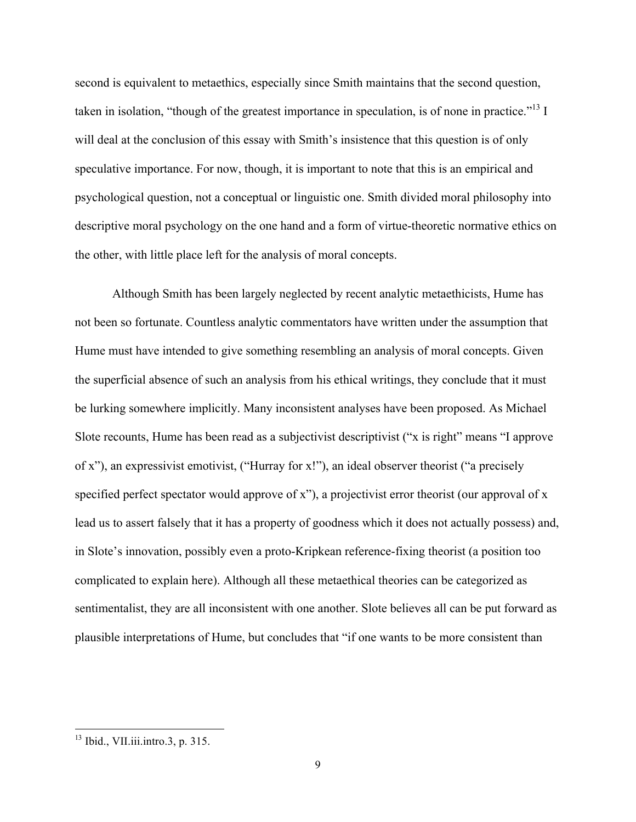second is equivalent to metaethics, especially since Smith maintains that the second question, taken in isolation, "though of the greatest importance in speculation, is of none in practice."<sup>13</sup> I will deal at the conclusion of this essay with Smith's insistence that this question is of only speculative importance. For now, though, it is important to note that this is an empirical and psychological question, not a conceptual or linguistic one. Smith divided moral philosophy into descriptive moral psychology on the one hand and a form of virtue-theoretic normative ethics on the other, with little place left for the analysis of moral concepts.

Although Smith has been largely neglected by recent analytic metaethicists, Hume has not been so fortunate. Countless analytic commentators have written under the assumption that Hume must have intended to give something resembling an analysis of moral concepts. Given the superficial absence of such an analysis from his ethical writings, they conclude that it must be lurking somewhere implicitly. Many inconsistent analyses have been proposed. As Michael Slote recounts, Hume has been read as a subjectivist descriptivist ("x is right" means "I approve of x"), an expressivist emotivist, ("Hurray for x!"), an ideal observer theorist ("a precisely specified perfect spectator would approve of x"), a projectivist error theorist (our approval of x lead us to assert falsely that it has a property of goodness which it does not actually possess) and, in Slote's innovation, possibly even a proto-Kripkean reference-fixing theorist (a position too complicated to explain here). Although all these metaethical theories can be categorized as sentimentalist, they are all inconsistent with one another. Slote believes all can be put forward as plausible interpretations of Hume, but concludes that "if one wants to be more consistent than

<sup>&</sup>lt;u> 1989 - Johann Stein, fransk politik (d. 1989)</u>  $13$  Ibid., VII.iii.intro.3, p. 315.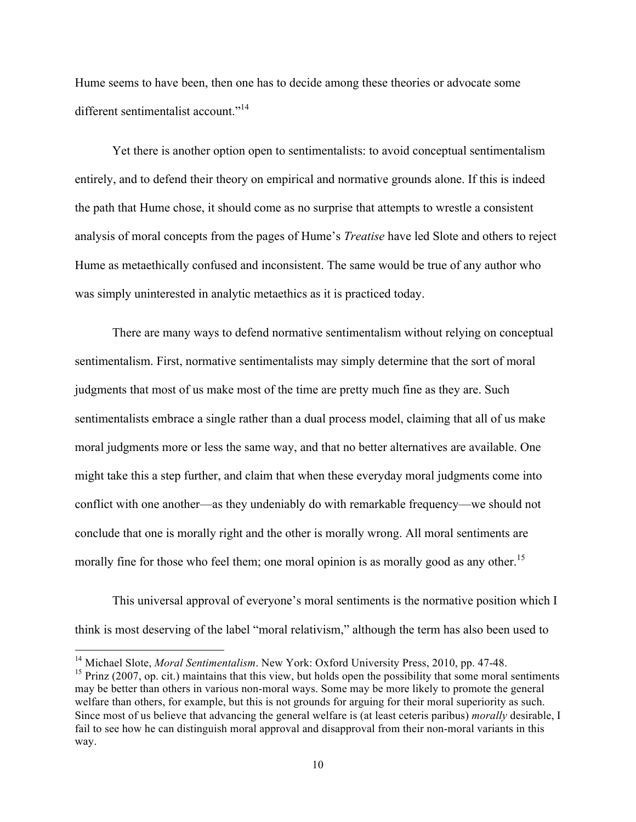Hume seems to have been, then one has to decide among these theories or advocate some different sentimentalist account."<sup>14</sup>

Yet there is another option open to sentimentalists: to avoid conceptual sentimentalism entirely, and to defend their theory on empirical and normative grounds alone. If this is indeed the path that Hume chose, it should come as no surprise that attempts to wrestle a consistent analysis of moral concepts from the pages of Hume's *Treatise* have led Slote and others to reject Hume as metaethically confused and inconsistent. The same would be true of any author who was simply uninterested in analytic metaethics as it is practiced today.

There are many ways to defend normative sentimentalism without relying on conceptual sentimentalism. First, normative sentimentalists may simply determine that the sort of moral judgments that most of us make most of the time are pretty much fine as they are. Such sentimentalists embrace a single rather than a dual process model, claiming that all of us make moral judgments more or less the same way, and that no better alternatives are available. One might take this a step further, and claim that when these everyday moral judgments come into conflict with one another—as they undeniably do with remarkable frequency—we should not conclude that one is morally right and the other is morally wrong. All moral sentiments are morally fine for those who feel them; one moral opinion is as morally good as any other.<sup>15</sup>

This universal approval of everyone's moral sentiments is the normative position which I think is most deserving of the label "moral relativism," although the term has also been used to

<sup>&</sup>lt;sup>14</sup> Michael Slote, *Moral Sentimentalism*. New York: Oxford University Press, 2010, pp. 47-48.

 $15$  Prinz (2007, op. cit.) maintains that this view, but holds open the possibility that some moral sentiments may be better than others in various non-moral ways. Some may be more likely to promote the general welfare than others, for example, but this is not grounds for arguing for their moral superiority as such. Since most of us believe that advancing the general welfare is (at least ceteris paribus) *morally* desirable, I fail to see how he can distinguish moral approval and disapproval from their non-moral variants in this way.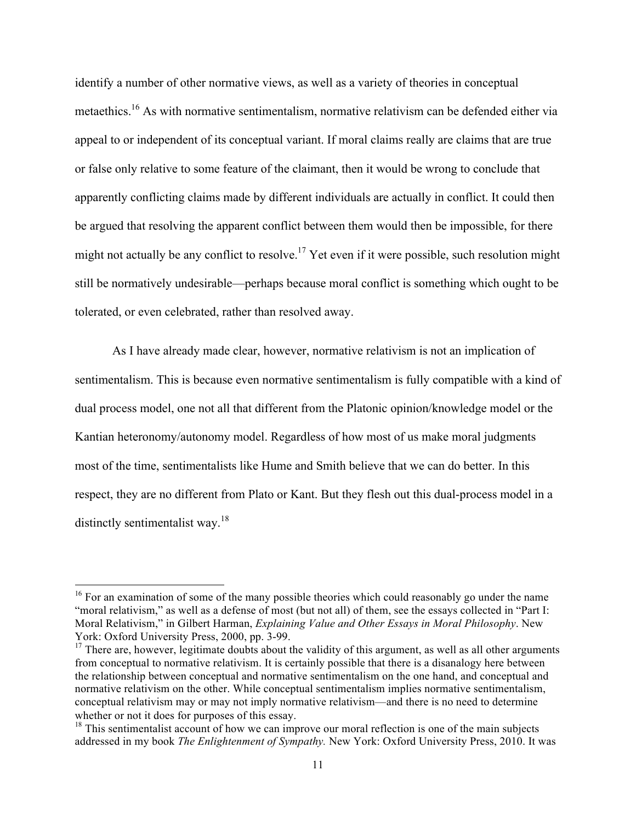identify a number of other normative views, as well as a variety of theories in conceptual metaethics.<sup>16</sup> As with normative sentimentalism, normative relativism can be defended either via appeal to or independent of its conceptual variant. If moral claims really are claims that are true or false only relative to some feature of the claimant, then it would be wrong to conclude that apparently conflicting claims made by different individuals are actually in conflict. It could then be argued that resolving the apparent conflict between them would then be impossible, for there might not actually be any conflict to resolve.<sup>17</sup> Yet even if it were possible, such resolution might still be normatively undesirable—perhaps because moral conflict is something which ought to be tolerated, or even celebrated, rather than resolved away.

As I have already made clear, however, normative relativism is not an implication of sentimentalism. This is because even normative sentimentalism is fully compatible with a kind of dual process model, one not all that different from the Platonic opinion/knowledge model or the Kantian heteronomy/autonomy model. Regardless of how most of us make moral judgments most of the time, sentimentalists like Hume and Smith believe that we can do better. In this respect, they are no different from Plato or Kant. But they flesh out this dual-process model in a distinctly sentimentalist way.<sup>18</sup>

 $16$  For an examination of some of the many possible theories which could reasonably go under the name "moral relativism," as well as a defense of most (but not all) of them, see the essays collected in "Part I: Moral Relativism," in Gilbert Harman, *Explaining Value and Other Essays in Moral Philosophy*. New York: Oxford University Press, 2000, pp. 3-99.

<sup>&</sup>lt;sup>17</sup> There are, however, legitimate doubts about the validity of this argument, as well as all other arguments from conceptual to normative relativism. It is certainly possible that there is a disanalogy here between the relationship between conceptual and normative sentimentalism on the one hand, and conceptual and normative relativism on the other. While conceptual sentimentalism implies normative sentimentalism, conceptual relativism may or may not imply normative relativism—and there is no need to determine whether or not it does for purposes of this essay.

 $18$  This sentimentalist account of how we can improve our moral reflection is one of the main subjects addressed in my book *The Enlightenment of Sympathy.* New York: Oxford University Press, 2010. It was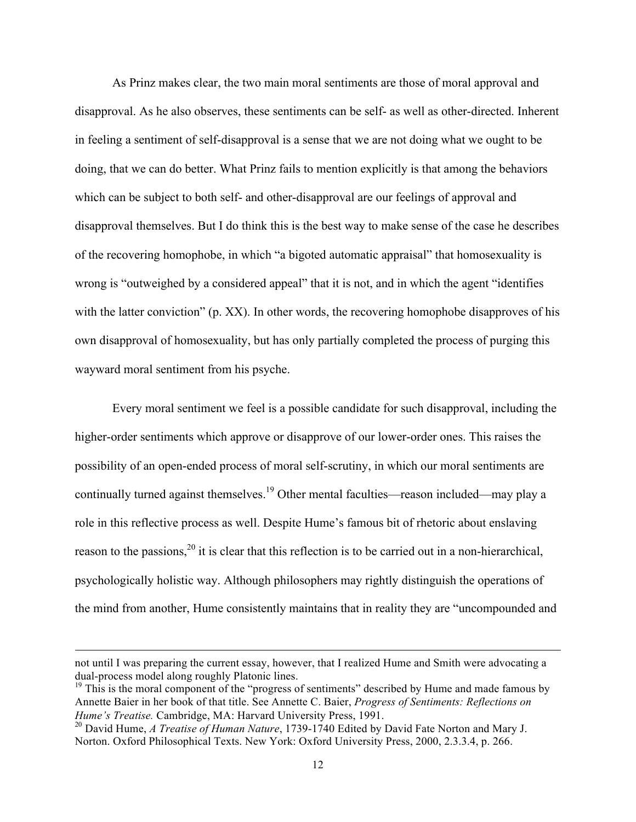As Prinz makes clear, the two main moral sentiments are those of moral approval and disapproval. As he also observes, these sentiments can be self- as well as other-directed. Inherent in feeling a sentiment of self-disapproval is a sense that we are not doing what we ought to be doing, that we can do better. What Prinz fails to mention explicitly is that among the behaviors which can be subject to both self- and other-disapproval are our feelings of approval and disapproval themselves. But I do think this is the best way to make sense of the case he describes of the recovering homophobe, in which "a bigoted automatic appraisal" that homosexuality is wrong is "outweighed by a considered appeal" that it is not, and in which the agent "identifies with the latter conviction" (p. XX). In other words, the recovering homophobe disapproves of his own disapproval of homosexuality, but has only partially completed the process of purging this wayward moral sentiment from his psyche.

Every moral sentiment we feel is a possible candidate for such disapproval, including the higher-order sentiments which approve or disapprove of our lower-order ones. This raises the possibility of an open-ended process of moral self-scrutiny, in which our moral sentiments are continually turned against themselves.19 Other mental faculties—reason included—may play a role in this reflective process as well. Despite Hume's famous bit of rhetoric about enslaving reason to the passions,  $20$  it is clear that this reflection is to be carried out in a non-hierarchical, psychologically holistic way. Although philosophers may rightly distinguish the operations of the mind from another, Hume consistently maintains that in reality they are "uncompounded and

<u> 1989 - Andrea Santa Andrea Andrea Andrea Andrea Andrea Andrea Andrea Andrea Andrea Andrea Andrea Andrea Andr</u>

not until I was preparing the current essay, however, that I realized Hume and Smith were advocating a dual-process model along roughly Platonic lines.

 $19$  This is the moral component of the "progress of sentiments" described by Hume and made famous by Annette Baier in her book of that title. See Annette C. Baier, *Progress of Sentiments: Reflections on Hume's Treatise.* Cambridge, MA: Harvard University Press, 1991.

<sup>20</sup> David Hume, *A Treatise of Human Nature*, 1739-1740 Edited by David Fate Norton and Mary J. Norton. Oxford Philosophical Texts. New York: Oxford University Press, 2000, 2.3.3.4, p. 266.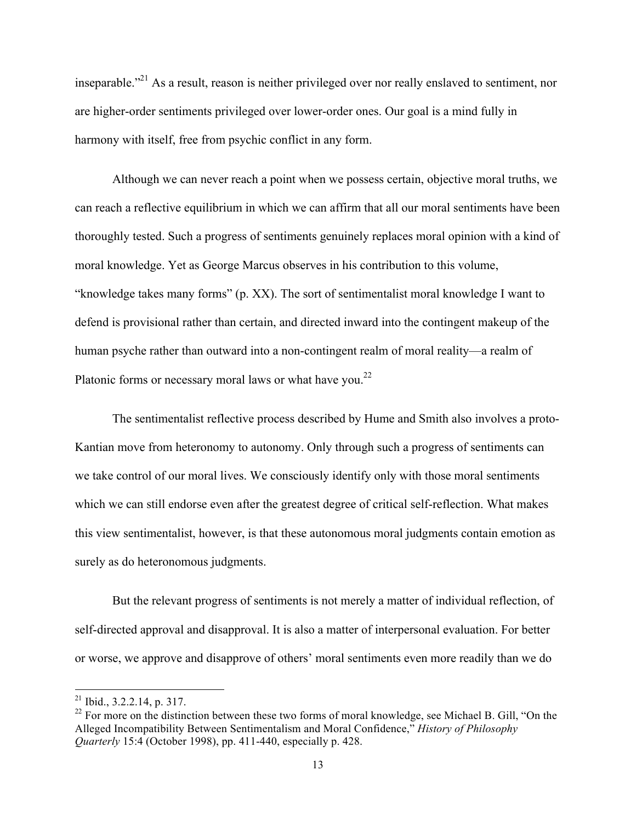inseparable."<sup>21</sup> As a result, reason is neither privileged over nor really enslaved to sentiment, nor are higher-order sentiments privileged over lower-order ones. Our goal is a mind fully in harmony with itself, free from psychic conflict in any form.

Although we can never reach a point when we possess certain, objective moral truths, we can reach a reflective equilibrium in which we can affirm that all our moral sentiments have been thoroughly tested. Such a progress of sentiments genuinely replaces moral opinion with a kind of moral knowledge. Yet as George Marcus observes in his contribution to this volume, "knowledge takes many forms" (p. XX). The sort of sentimentalist moral knowledge I want to defend is provisional rather than certain, and directed inward into the contingent makeup of the human psyche rather than outward into a non-contingent realm of moral reality—a realm of Platonic forms or necessary moral laws or what have you.<sup>22</sup>

The sentimentalist reflective process described by Hume and Smith also involves a proto-Kantian move from heteronomy to autonomy. Only through such a progress of sentiments can we take control of our moral lives. We consciously identify only with those moral sentiments which we can still endorse even after the greatest degree of critical self-reflection. What makes this view sentimentalist, however, is that these autonomous moral judgments contain emotion as surely as do heteronomous judgments.

But the relevant progress of sentiments is not merely a matter of individual reflection, of self-directed approval and disapproval. It is also a matter of interpersonal evaluation. For better or worse, we approve and disapprove of others' moral sentiments even more readily than we do

<sup>21</sup> Ibid., 3.2.2.14, p. 317.

<sup>&</sup>lt;sup>22</sup> For more on the distinction between these two forms of moral knowledge, see Michael B. Gill, "On the Alleged Incompatibility Between Sentimentalism and Moral Confidence," *History of Philosophy Quarterly* 15:4 (October 1998), pp. 411-440, especially p. 428.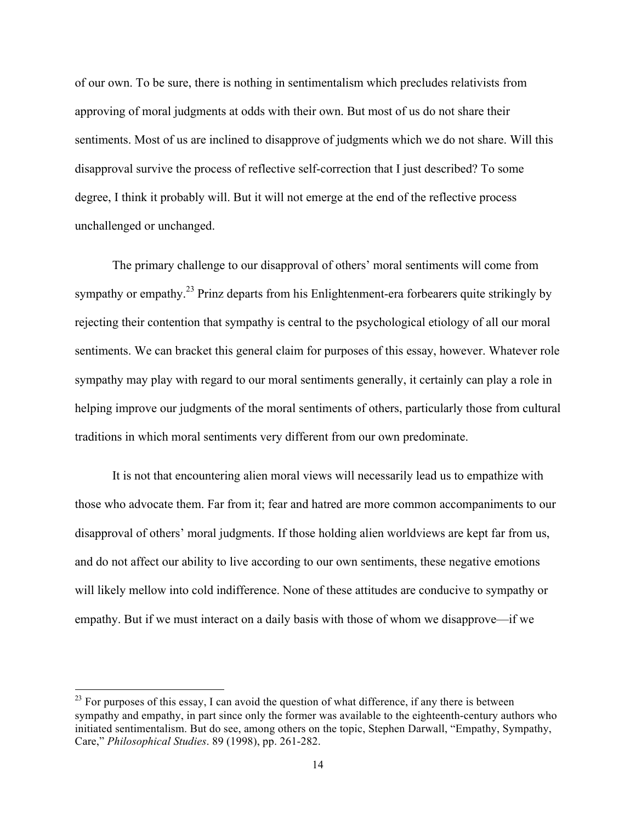of our own. To be sure, there is nothing in sentimentalism which precludes relativists from approving of moral judgments at odds with their own. But most of us do not share their sentiments. Most of us are inclined to disapprove of judgments which we do not share. Will this disapproval survive the process of reflective self-correction that I just described? To some degree, I think it probably will. But it will not emerge at the end of the reflective process unchallenged or unchanged.

The primary challenge to our disapproval of others' moral sentiments will come from sympathy or empathy.<sup>23</sup> Prinz departs from his Enlightenment-era forbearers quite strikingly by rejecting their contention that sympathy is central to the psychological etiology of all our moral sentiments. We can bracket this general claim for purposes of this essay, however. Whatever role sympathy may play with regard to our moral sentiments generally, it certainly can play a role in helping improve our judgments of the moral sentiments of others, particularly those from cultural traditions in which moral sentiments very different from our own predominate.

It is not that encountering alien moral views will necessarily lead us to empathize with those who advocate them. Far from it; fear and hatred are more common accompaniments to our disapproval of others' moral judgments. If those holding alien worldviews are kept far from us, and do not affect our ability to live according to our own sentiments, these negative emotions will likely mellow into cold indifference. None of these attitudes are conducive to sympathy or empathy. But if we must interact on a daily basis with those of whom we disapprove—if we

<sup>&</sup>lt;sup>23</sup> For purposes of this essay, I can avoid the question of what difference, if any there is between sympathy and empathy, in part since only the former was available to the eighteenth-century authors who initiated sentimentalism. But do see, among others on the topic, Stephen Darwall, "Empathy, Sympathy, Care," *Philosophical Studies*. 89 (1998), pp. 261-282.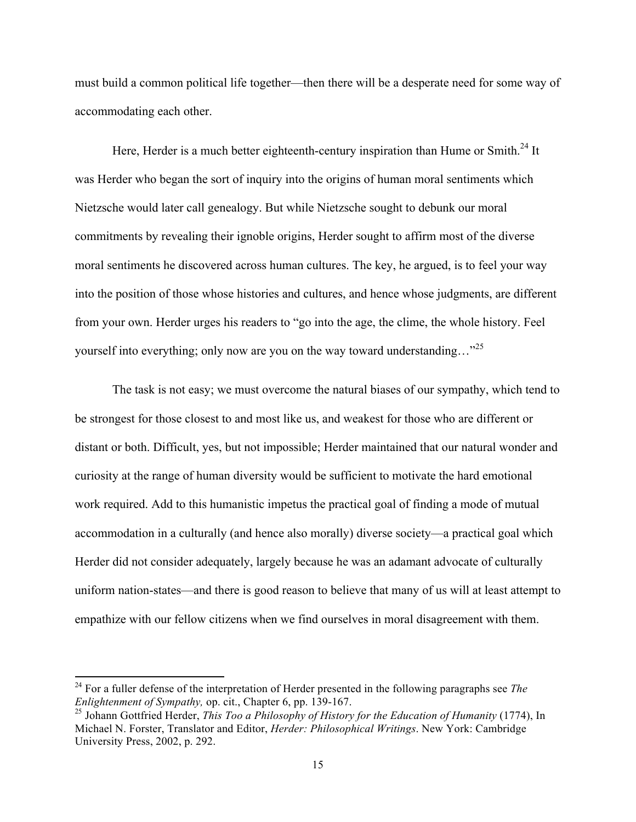must build a common political life together—then there will be a desperate need for some way of accommodating each other.

Here, Herder is a much better eighteenth-century inspiration than Hume or Smith.<sup>24</sup> It was Herder who began the sort of inquiry into the origins of human moral sentiments which Nietzsche would later call genealogy. But while Nietzsche sought to debunk our moral commitments by revealing their ignoble origins, Herder sought to affirm most of the diverse moral sentiments he discovered across human cultures. The key, he argued, is to feel your way into the position of those whose histories and cultures, and hence whose judgments, are different from your own. Herder urges his readers to "go into the age, the clime, the whole history. Feel yourself into everything; only now are you on the way toward understanding…"<sup>25</sup>

The task is not easy; we must overcome the natural biases of our sympathy, which tend to be strongest for those closest to and most like us, and weakest for those who are different or distant or both. Difficult, yes, but not impossible; Herder maintained that our natural wonder and curiosity at the range of human diversity would be sufficient to motivate the hard emotional work required. Add to this humanistic impetus the practical goal of finding a mode of mutual accommodation in a culturally (and hence also morally) diverse society—a practical goal which Herder did not consider adequately, largely because he was an adamant advocate of culturally uniform nation-states—and there is good reason to believe that many of us will at least attempt to empathize with our fellow citizens when we find ourselves in moral disagreement with them.

 <sup>24</sup> For a fuller defense of the interpretation of Herder presented in the following paragraphs see *The Enlightenment of Sympathy,* op. cit., Chapter 6, pp. 139-167.

<sup>25</sup> Johann Gottfried Herder, *This Too a Philosophy of History for the Education of Humanity* (1774), In Michael N. Forster, Translator and Editor, *Herder: Philosophical Writings*. New York: Cambridge University Press, 2002, p. 292.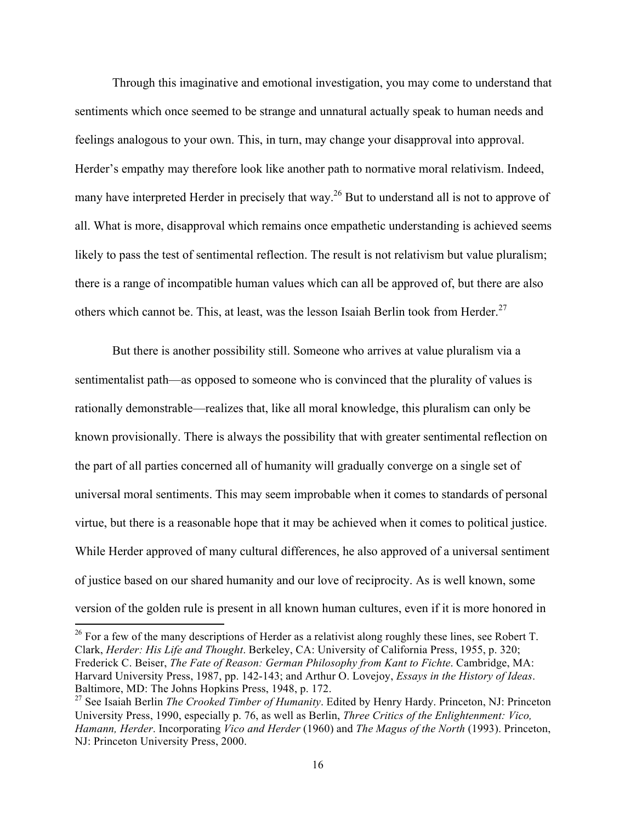Through this imaginative and emotional investigation, you may come to understand that sentiments which once seemed to be strange and unnatural actually speak to human needs and feelings analogous to your own. This, in turn, may change your disapproval into approval. Herder's empathy may therefore look like another path to normative moral relativism. Indeed, many have interpreted Herder in precisely that way.<sup>26</sup> But to understand all is not to approve of all. What is more, disapproval which remains once empathetic understanding is achieved seems likely to pass the test of sentimental reflection. The result is not relativism but value pluralism; there is a range of incompatible human values which can all be approved of, but there are also others which cannot be. This, at least, was the lesson Isaiah Berlin took from Herder.<sup>27</sup>

But there is another possibility still. Someone who arrives at value pluralism via a sentimentalist path—as opposed to someone who is convinced that the plurality of values is rationally demonstrable—realizes that, like all moral knowledge, this pluralism can only be known provisionally. There is always the possibility that with greater sentimental reflection on the part of all parties concerned all of humanity will gradually converge on a single set of universal moral sentiments. This may seem improbable when it comes to standards of personal virtue, but there is a reasonable hope that it may be achieved when it comes to political justice. While Herder approved of many cultural differences, he also approved of a universal sentiment of justice based on our shared humanity and our love of reciprocity. As is well known, some version of the golden rule is present in all known human cultures, even if it is more honored in

 $^{26}$  For a few of the many descriptions of Herder as a relativist along roughly these lines, see Robert T. Clark, *Herder: His Life and Thought*. Berkeley, CA: University of California Press, 1955, p. 320; Frederick C. Beiser, *The Fate of Reason: German Philosophy from Kant to Fichte*. Cambridge, MA: Harvard University Press, 1987, pp. 142-143; and Arthur O. Lovejoy, *Essays in the History of Ideas*. Baltimore, MD: The Johns Hopkins Press, 1948, p. 172.

<sup>27</sup> See Isaiah Berlin *The Crooked Timber of Humanity*. Edited by Henry Hardy. Princeton, NJ: Princeton University Press, 1990, especially p. 76, as well as Berlin, *Three Critics of the Enlightenment: Vico, Hamann, Herder*. Incorporating *Vico and Herder* (1960) and *The Magus of the North* (1993). Princeton, NJ: Princeton University Press, 2000.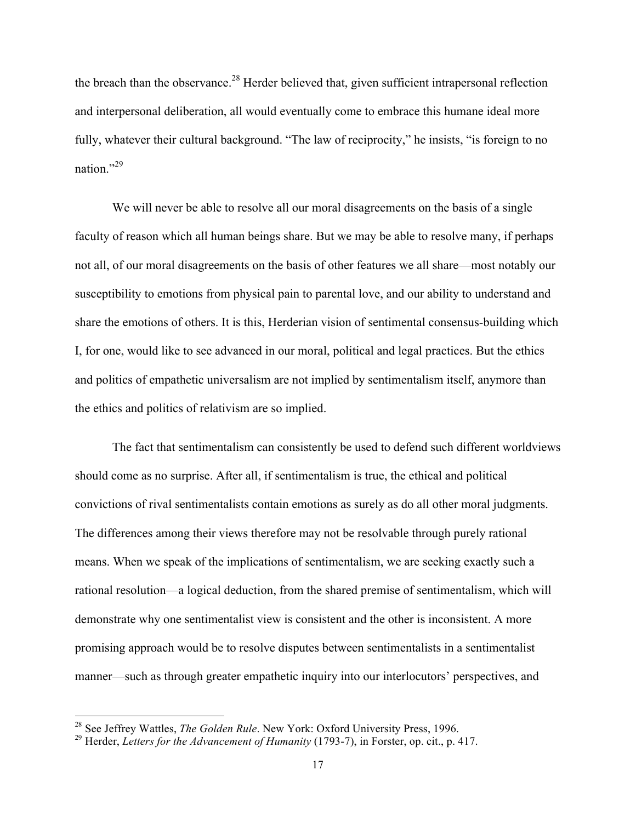the breach than the observance.<sup>28</sup> Herder believed that, given sufficient intrapersonal reflection and interpersonal deliberation, all would eventually come to embrace this humane ideal more fully, whatever their cultural background. "The law of reciprocity," he insists, "is foreign to no nation."<sup>29</sup>

We will never be able to resolve all our moral disagreements on the basis of a single faculty of reason which all human beings share. But we may be able to resolve many, if perhaps not all, of our moral disagreements on the basis of other features we all share—most notably our susceptibility to emotions from physical pain to parental love, and our ability to understand and share the emotions of others. It is this, Herderian vision of sentimental consensus-building which I, for one, would like to see advanced in our moral, political and legal practices. But the ethics and politics of empathetic universalism are not implied by sentimentalism itself, anymore than the ethics and politics of relativism are so implied.

The fact that sentimentalism can consistently be used to defend such different worldviews should come as no surprise. After all, if sentimentalism is true, the ethical and political convictions of rival sentimentalists contain emotions as surely as do all other moral judgments. The differences among their views therefore may not be resolvable through purely rational means. When we speak of the implications of sentimentalism, we are seeking exactly such a rational resolution—a logical deduction, from the shared premise of sentimentalism, which will demonstrate why one sentimentalist view is consistent and the other is inconsistent. A more promising approach would be to resolve disputes between sentimentalists in a sentimentalist manner—such as through greater empathetic inquiry into our interlocutors' perspectives, and

<sup>28</sup> See Jeffrey Wattles, *The Golden Rule*. New York: Oxford University Press, 1996.

<sup>29</sup> Herder, *Letters for the Advancement of Humanity* (1793-7), in Forster, op. cit., p. 417.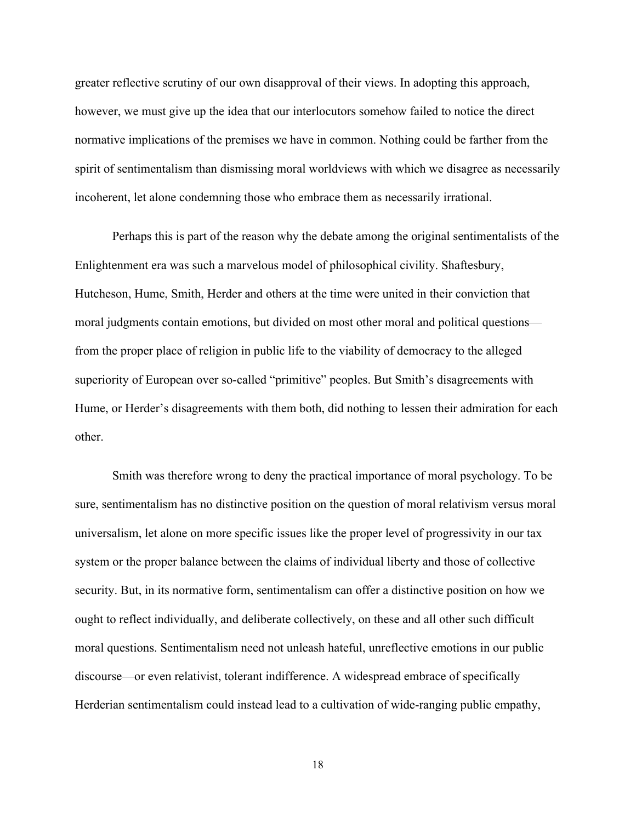greater reflective scrutiny of our own disapproval of their views. In adopting this approach, however, we must give up the idea that our interlocutors somehow failed to notice the direct normative implications of the premises we have in common. Nothing could be farther from the spirit of sentimentalism than dismissing moral worldviews with which we disagree as necessarily incoherent, let alone condemning those who embrace them as necessarily irrational.

Perhaps this is part of the reason why the debate among the original sentimentalists of the Enlightenment era was such a marvelous model of philosophical civility. Shaftesbury, Hutcheson, Hume, Smith, Herder and others at the time were united in their conviction that moral judgments contain emotions, but divided on most other moral and political questions from the proper place of religion in public life to the viability of democracy to the alleged superiority of European over so-called "primitive" peoples. But Smith's disagreements with Hume, or Herder's disagreements with them both, did nothing to lessen their admiration for each other.

Smith was therefore wrong to deny the practical importance of moral psychology. To be sure, sentimentalism has no distinctive position on the question of moral relativism versus moral universalism, let alone on more specific issues like the proper level of progressivity in our tax system or the proper balance between the claims of individual liberty and those of collective security. But, in its normative form, sentimentalism can offer a distinctive position on how we ought to reflect individually, and deliberate collectively, on these and all other such difficult moral questions. Sentimentalism need not unleash hateful, unreflective emotions in our public discourse—or even relativist, tolerant indifference. A widespread embrace of specifically Herderian sentimentalism could instead lead to a cultivation of wide-ranging public empathy,

18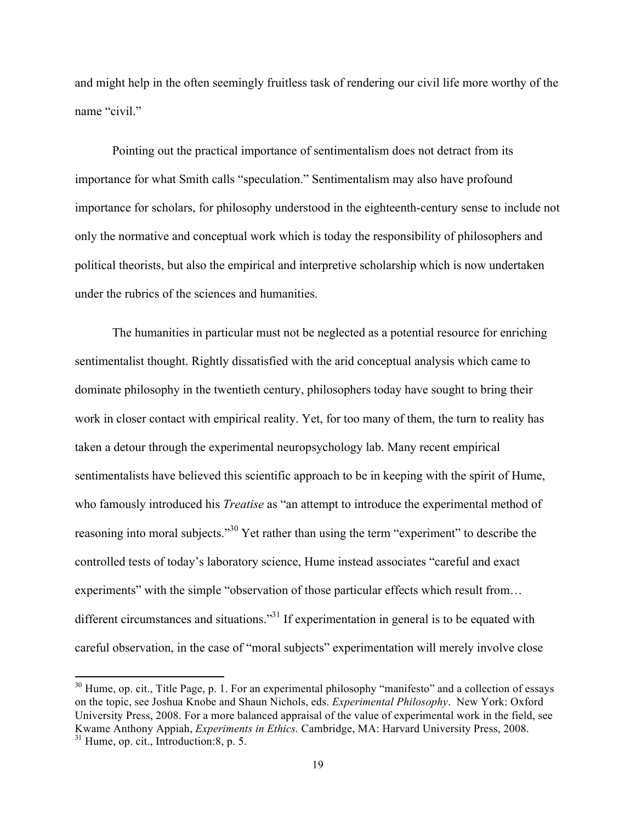and might help in the often seemingly fruitless task of rendering our civil life more worthy of the name "civil."

Pointing out the practical importance of sentimentalism does not detract from its importance for what Smith calls "speculation." Sentimentalism may also have profound importance for scholars, for philosophy understood in the eighteenth-century sense to include not only the normative and conceptual work which is today the responsibility of philosophers and political theorists, but also the empirical and interpretive scholarship which is now undertaken under the rubrics of the sciences and humanities.

The humanities in particular must not be neglected as a potential resource for enriching sentimentalist thought. Rightly dissatisfied with the arid conceptual analysis which came to dominate philosophy in the twentieth century, philosophers today have sought to bring their work in closer contact with empirical reality. Yet, for too many of them, the turn to reality has taken a detour through the experimental neuropsychology lab. Many recent empirical sentimentalists have believed this scientific approach to be in keeping with the spirit of Hume, who famously introduced his *Treatise* as "an attempt to introduce the experimental method of reasoning into moral subjects."<sup>30</sup> Yet rather than using the term "experiment" to describe the controlled tests of today's laboratory science, Hume instead associates "careful and exact experiments" with the simple "observation of those particular effects which result from... different circumstances and situations."<sup>31</sup> If experimentation in general is to be equated with careful observation, in the case of "moral subjects" experimentation will merely involve close

<sup>&</sup>lt;sup>30</sup> Hume, op. cit., Title Page, p. 1. For an experimental philosophy "manifesto" and a collection of essays on the topic, see Joshua Knobe and Shaun Nichols, eds. *Experimental Philosophy*. New York: Oxford University Press, 2008. For a more balanced appraisal of the value of experimental work in the field, see Kwame Anthony Appiah, *Experiments in Ethics.* Cambridge, MA: Harvard University Press, 2008.  $31$  Hume, op. cit., Introduction: 8, p. 5.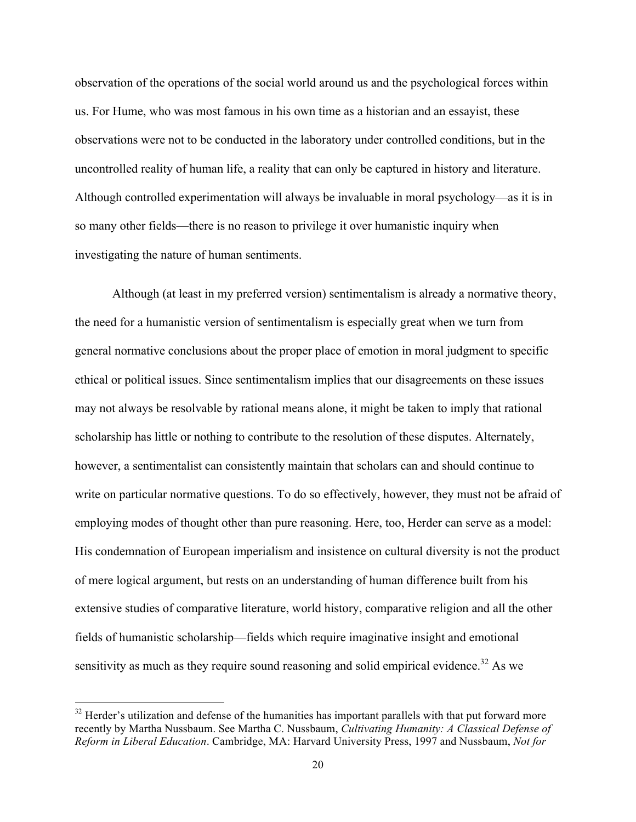observation of the operations of the social world around us and the psychological forces within us. For Hume, who was most famous in his own time as a historian and an essayist, these observations were not to be conducted in the laboratory under controlled conditions, but in the uncontrolled reality of human life, a reality that can only be captured in history and literature. Although controlled experimentation will always be invaluable in moral psychology—as it is in so many other fields—there is no reason to privilege it over humanistic inquiry when investigating the nature of human sentiments.

Although (at least in my preferred version) sentimentalism is already a normative theory, the need for a humanistic version of sentimentalism is especially great when we turn from general normative conclusions about the proper place of emotion in moral judgment to specific ethical or political issues. Since sentimentalism implies that our disagreements on these issues may not always be resolvable by rational means alone, it might be taken to imply that rational scholarship has little or nothing to contribute to the resolution of these disputes. Alternately, however, a sentimentalist can consistently maintain that scholars can and should continue to write on particular normative questions. To do so effectively, however, they must not be afraid of employing modes of thought other than pure reasoning. Here, too, Herder can serve as a model: His condemnation of European imperialism and insistence on cultural diversity is not the product of mere logical argument, but rests on an understanding of human difference built from his extensive studies of comparative literature, world history, comparative religion and all the other fields of humanistic scholarship—fields which require imaginative insight and emotional sensitivity as much as they require sound reasoning and solid empirical evidence.<sup>32</sup> As we

<sup>&</sup>lt;sup>32</sup> Herder's utilization and defense of the humanities has important parallels with that put forward more recently by Martha Nussbaum. See Martha C. Nussbaum, *Cultivating Humanity: A Classical Defense of Reform in Liberal Education*. Cambridge, MA: Harvard University Press, 1997 and Nussbaum, *Not for*